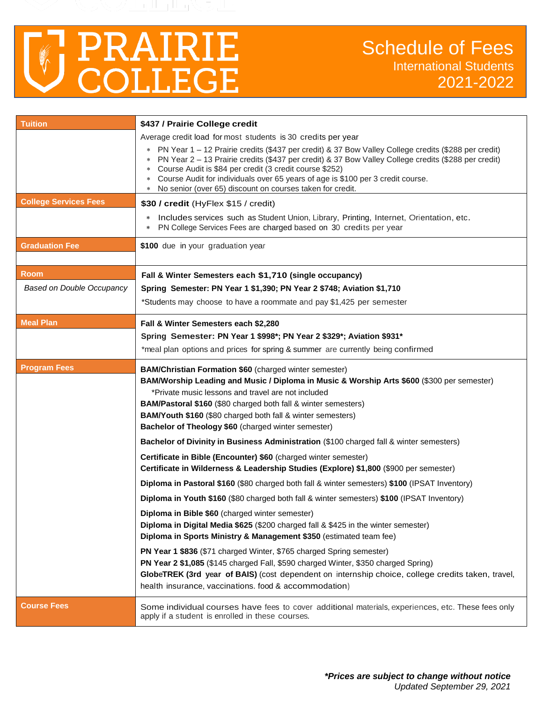

| <b>Tuition</b>                   | \$437 / Prairie College credit                                                                                                                                                   |  |  |  |  |  |
|----------------------------------|----------------------------------------------------------------------------------------------------------------------------------------------------------------------------------|--|--|--|--|--|
|                                  | Average credit load for most students is 30 credits per year                                                                                                                     |  |  |  |  |  |
|                                  | PN Year 1 - 12 Prairie credits (\$437 per credit) & 37 Bow Valley College credits (\$288 per credit)<br>*                                                                        |  |  |  |  |  |
|                                  | PN Year 2 - 13 Prairie credits (\$437 per credit) & 37 Bow Valley College credits (\$288 per credit)<br>Course Audit is \$84 per credit (3 credit course \$252)<br>∗             |  |  |  |  |  |
|                                  | Course Audit for individuals over 65 years of age is \$100 per 3 credit course.<br>∗                                                                                             |  |  |  |  |  |
|                                  | No senior (over 65) discount on courses taken for credit.<br>∗                                                                                                                   |  |  |  |  |  |
| <b>College Services Fees</b>     | \$30 / credit (HyFlex \$15 / credit)                                                                                                                                             |  |  |  |  |  |
|                                  | Includes services such as Student Union, Library, Printing, Internet, Orientation, etc.<br>$\ast$<br>PN College Services Fees are charged based on 30 credits per year<br>$\ast$ |  |  |  |  |  |
| <b>Graduation Fee</b>            | \$100 due in your graduation year                                                                                                                                                |  |  |  |  |  |
| <b>Room</b>                      | Fall & Winter Semesters each \$1,710 (single occupancy)                                                                                                                          |  |  |  |  |  |
| <b>Based on Double Occupancy</b> | Spring Semester: PN Year 1 \$1,390; PN Year 2 \$748; Aviation \$1,710                                                                                                            |  |  |  |  |  |
|                                  | *Students may choose to have a roommate and pay \$1,425 per semester                                                                                                             |  |  |  |  |  |
| <b>Meal Plan</b>                 | Fall & Winter Semesters each \$2,280                                                                                                                                             |  |  |  |  |  |
|                                  | Spring Semester: PN Year 1 \$998*; PN Year 2 \$329*; Aviation \$931*                                                                                                             |  |  |  |  |  |
|                                  | *meal plan options and prices for spring & summer are currently being confirmed                                                                                                  |  |  |  |  |  |
| <b>Program Fees</b>              | BAM/Christian Formation \$60 (charged winter semester)                                                                                                                           |  |  |  |  |  |
|                                  | BAM/Worship Leading and Music / Diploma in Music & Worship Arts \$600 (\$300 per semester)                                                                                       |  |  |  |  |  |
|                                  | *Private music lessons and travel are not included<br><b>BAM/Pastoral \$160 (\$80 charged both fall &amp; winter semesters)</b>                                                  |  |  |  |  |  |
|                                  | <b>BAM/Youth \$160 (\$80 charged both fall &amp; winter semesters)</b>                                                                                                           |  |  |  |  |  |
|                                  | Bachelor of Theology \$60 (charged winter semester)                                                                                                                              |  |  |  |  |  |
|                                  | Bachelor of Divinity in Business Administration (\$100 charged fall & winter semesters)                                                                                          |  |  |  |  |  |
|                                  | Certificate in Bible (Encounter) \$60 (charged winter semester)                                                                                                                  |  |  |  |  |  |
|                                  | Certificate in Wilderness & Leadership Studies (Explore) \$1,800 (\$900 per semester)                                                                                            |  |  |  |  |  |
|                                  | Diploma in Pastoral \$160 (\$80 charged both fall & winter semesters) \$100 (IPSAT Inventory)                                                                                    |  |  |  |  |  |
|                                  | Diploma in Youth \$160 (\$80 charged both fall & winter semesters) \$100 (IPSAT Inventory)                                                                                       |  |  |  |  |  |
|                                  | Diploma in Bible \$60 (charged winter semester)                                                                                                                                  |  |  |  |  |  |
|                                  | Diploma in Digital Media \$625 (\$200 charged fall & \$425 in the winter semester)                                                                                               |  |  |  |  |  |
|                                  | Diploma in Sports Ministry & Management \$350 (estimated team fee)                                                                                                               |  |  |  |  |  |
|                                  | PN Year 1 \$836 (\$71 charged Winter, \$765 charged Spring semester)                                                                                                             |  |  |  |  |  |
|                                  | PN Year 2 \$1,085 (\$145 charged Fall, \$590 charged Winter, \$350 charged Spring)                                                                                               |  |  |  |  |  |
|                                  | GlobeTREK (3rd year of BAIS) (cost dependent on internship choice, college credits taken, travel,                                                                                |  |  |  |  |  |
|                                  | health insurance, vaccinations. food & accommodation)                                                                                                                            |  |  |  |  |  |
| <b>Course Fees</b>               | Some individual courses have fees to cover additional materials, experiences, etc. These fees only<br>apply if a student is enrolled in these courses.                           |  |  |  |  |  |